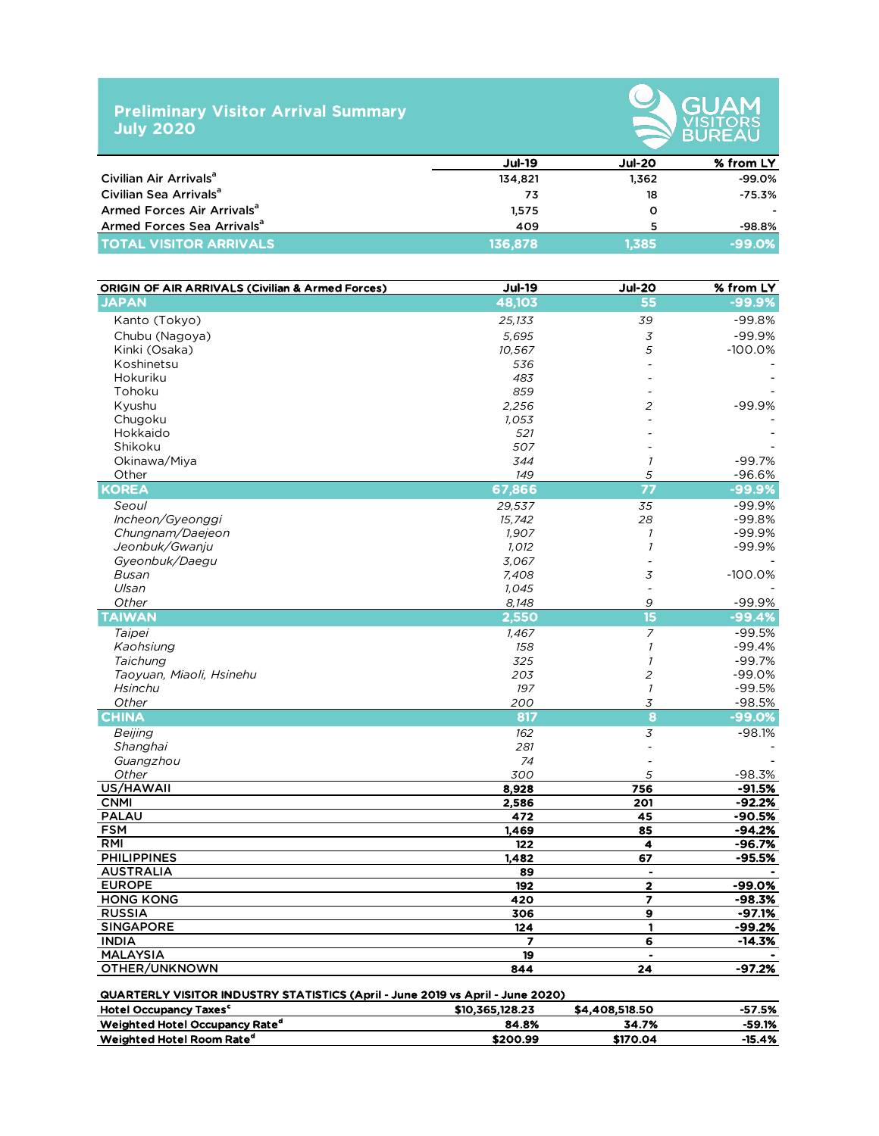## **Preliminary Visitor Arrival Summary July 2020**



|                                        | <b>Jul-19</b> | <b>Jul-20</b> | % from LY |
|----------------------------------------|---------------|---------------|-----------|
| Civilian Air Arrivals <sup>a</sup>     | 134,821       | 1.362         | $-99.0\%$ |
| Civilian Sea Arrivals <sup>a</sup>     | 73            | 18            | $-75.3\%$ |
| Armed Forces Air Arrivals <sup>a</sup> | 1,575         | O             |           |
| Armed Forces Sea Arrivals <sup>a</sup> | 409           |               | $-98.8%$  |
| <b>TOTAL VISITOR ARRIVALS</b>          | 136,878       | 1.385         | $-99.0%$  |

|                                                                                                                                   | $Jul-19$                      | <b>Jul-20</b>            | % from LY |
|-----------------------------------------------------------------------------------------------------------------------------------|-------------------------------|--------------------------|-----------|
| Civilian Air Arrivals <sup>a</sup>                                                                                                | 134,821                       | 1,362                    | $-99.0%$  |
| Civilian Sea Arrivals <sup>a</sup>                                                                                                | 73                            | 18                       | $-75.3%$  |
| Armed Forces Air Arrivals <sup>a</sup>                                                                                            | 1,575                         | O                        |           |
| Armed Forces Sea Arrivals <sup>a</sup>                                                                                            | 409                           | 5                        | $-98.8%$  |
| <b>TOTAL VISITOR ARRIVALS</b>                                                                                                     | 136,878                       | 1,385                    | -99.0%    |
|                                                                                                                                   |                               |                          |           |
| <b>ORIGIN OF AIR ARRIVALS (Civilian &amp; Armed Forces)</b>                                                                       | $Jul-19$                      | <b>Jul-20</b>            | % from LY |
| <b>JAPAN</b>                                                                                                                      | 48,103                        | 55                       | $-99.9%$  |
| Kanto (Tokyo)                                                                                                                     | 25,133                        | 39                       | $-99.8%$  |
| Chubu (Nagoya)                                                                                                                    | 5,695                         | $\cal{Z}$                | $-99.9%$  |
| Kinki (Osaka)                                                                                                                     | 10,567                        | 5                        | $-100.0%$ |
| Koshinetsu                                                                                                                        | 536                           |                          |           |
| Hokuriku                                                                                                                          | 483                           |                          |           |
| Tohoku                                                                                                                            | 859                           |                          |           |
| Kyushu                                                                                                                            | 2,256                         | $\overline{c}$           | $-99.9%$  |
| Chugoku<br>Hokkaido                                                                                                               | 1,053                         |                          |           |
| Shikoku                                                                                                                           | 521<br>507                    |                          |           |
| Okinawa/Miya                                                                                                                      | 344                           | $\overline{\phantom{a}}$ | $-99.7%$  |
| Other                                                                                                                             | 149                           | 5                        | $-96.6%$  |
| <b>KOREA</b>                                                                                                                      | 67,866                        | 77                       | -99.9%    |
| Seoul                                                                                                                             | 29,537                        | 35                       | $-99.9%$  |
| Incheon/Gyeonggi                                                                                                                  | 15,742                        | 28                       | $-99.8%$  |
| Chungnam/Daejeon                                                                                                                  | 1,907                         | $\overline{1}$           | $-99.9%$  |
| Jeonbuk/Gwanju                                                                                                                    | 1,012                         | $\overline{\phantom{a}}$ | $-99.9%$  |
| Gyeonbuk/Daegu                                                                                                                    | 3,067                         |                          |           |
| Busan                                                                                                                             | 7,408                         | 3                        | $-100.0%$ |
| Ulsan                                                                                                                             | 1,045                         |                          |           |
| Other                                                                                                                             | 8,148                         | 9                        | $-99.9%$  |
| <b>TAIWAN</b>                                                                                                                     | 2,550                         | $\overline{15}$          | $-99.4%$  |
| Taipei                                                                                                                            | 1,467                         | $\overline{7}$           | $-99.5%$  |
| Kaohsiung                                                                                                                         | 158                           | $\mathcal{I}$            | $-99.4%$  |
| Taichung                                                                                                                          | 325                           | $\mathcal{I}$            | $-99.7%$  |
| Taoyuan, Miaoli, Hsinehu                                                                                                          | 203                           | 2                        | $-99.0%$  |
| Hsinchu                                                                                                                           | 197                           | $\mathcal{I}$            | $-99.5%$  |
| Other                                                                                                                             | 200                           | 3                        | $-98.5%$  |
| <b>CHINA</b>                                                                                                                      | 817                           | 8                        | $-99.0%$  |
| Beijing                                                                                                                           | 162                           | 3                        | $-98.1%$  |
| Shanghai                                                                                                                          | 281                           |                          |           |
| Guangzhou<br>Other                                                                                                                | 74<br>300                     | 5                        | $-98.3%$  |
| US/HAWAII                                                                                                                         | 8,928                         | 756                      | $-91.5%$  |
| <b>CNMI</b>                                                                                                                       | 2,586                         | 201                      | $-92.2%$  |
| <b>PALAU</b>                                                                                                                      | 472                           | 45                       | $-90.5%$  |
| <b>FSM</b>                                                                                                                        | 1,469                         | 85                       | $-94.2%$  |
| RMI                                                                                                                               | 122                           | 4                        | $-96.7%$  |
| <b>PHILIPPINES</b>                                                                                                                | 1,482                         | 67                       | $-95.5%$  |
| <b>AUSTRALIA</b>                                                                                                                  | 89                            |                          |           |
| <b>EUROPE</b>                                                                                                                     | 192                           | 2                        | $-99.0%$  |
| <b>HONG KONG</b>                                                                                                                  | 420                           | $\overline{\mathbf{z}}$  | $-98.3%$  |
| <b>RUSSIA</b>                                                                                                                     | 306                           | 9                        | $-97.1%$  |
| <b>SINGAPORE</b>                                                                                                                  | 124                           | $\mathbf{1}$             | $-99.2%$  |
| <b>INDIA</b><br><b>MALAYSIA</b>                                                                                                   | $\overline{\mathbf{z}}$<br>19 | 6                        | $-14.3%$  |
| OTHER/UNKNOWN                                                                                                                     | 844                           | 24                       | $-97.2%$  |
|                                                                                                                                   |                               |                          |           |
| <b>QUARTERLY VISITOR INDUSTRY STATISTICS (April - June 2019 vs April - June 2020)</b><br><b>Hotel Occupancy Taxes<sup>c</sup></b> | \$10,365,128.23               | \$4,408,518.50           | $-57.5%$  |
| Weighted Hotel Occupancy Rate <sup>d</sup>                                                                                        | 84.8%                         | 34.7%                    | $-59.1%$  |

 $\begin{array}{cccc}\textbf{Weighted Hotel Room Rate}^{\textbf{d}} & \textbf{3200.99} & \textbf{170.04} & -15.4\%\\ \hline \end{array}$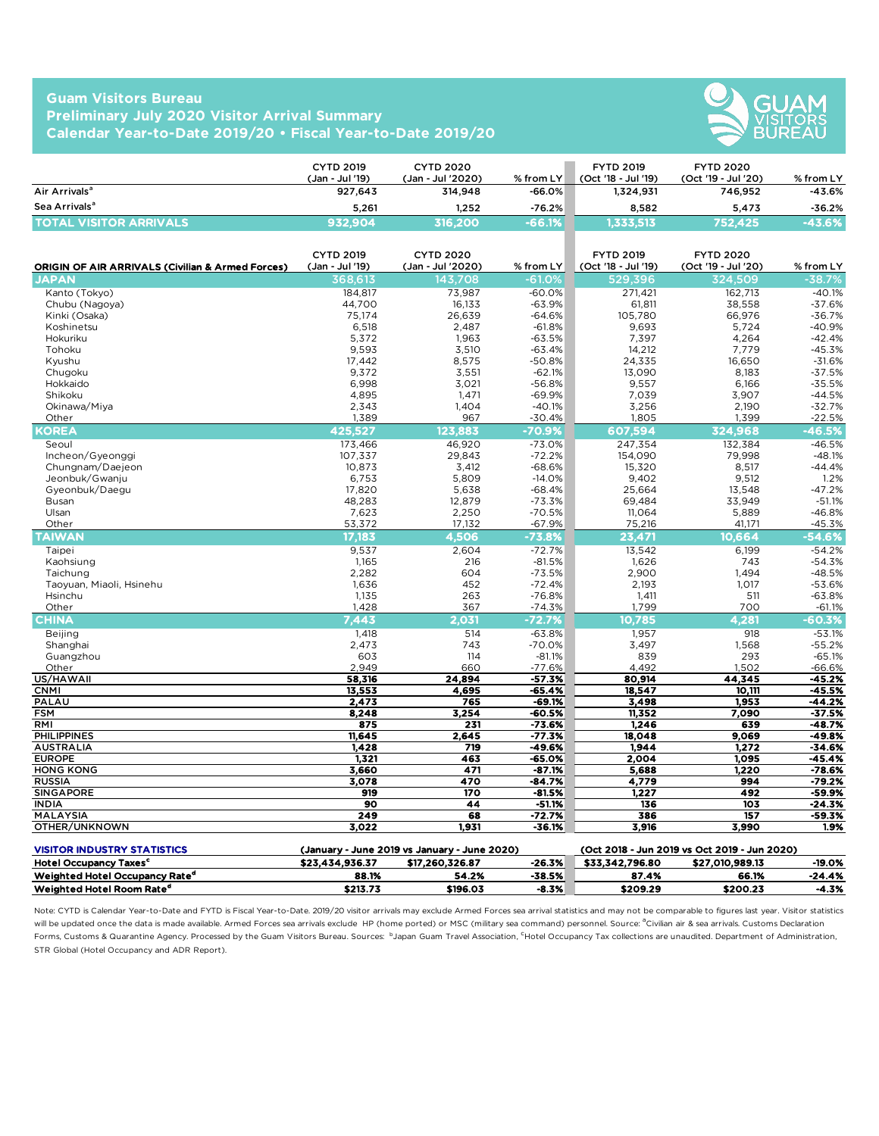## **Guam Visitors Bureau Preliminary July 2020 Visitor Arrival Summary Calendar Year-to-Date 2019/20 • Fiscal Year-to-Date 2019/20**



|                                           | <b>CYTD 2019</b><br>(Jan - Jul '19) | <b>CYTD 2020</b><br>(Jan - Jul '2020) | $%$ from LY | <b>FYTD 2019</b><br>(Oct '18 - Jul '19) | <b>FYTD 2020</b><br>(Oct '19 - Jul '20) | % from LY    |
|-------------------------------------------|-------------------------------------|---------------------------------------|-------------|-----------------------------------------|-----------------------------------------|--------------|
| Air Arrivals <sup>a</sup>                 | 927.643                             | 314,948                               | $-66.0\%$   | 1,324,931                               | 746.952                                 | $-43.6%$     |
| Sea Arrivals <sup>a</sup>                 | 5.261                               | 1.252                                 | $-76.2%$    | 8.582                                   | 5.473                                   | $-36.2%$     |
| <b>TOTAL</b><br><b>TVISITOR ARRIVALSY</b> | 932,904                             | 316,200                               | $-66.1%$    | ,333,513                                | 752,425                                 | <b>13.6%</b> |

|                                                                                                                                                                                                                                                                                                                                                                                                                                                                                                                                                                                                                                                                                                         | <b>CYTD 2019</b><br>(Jan - Jul '19) | <b>CYTD 2020</b><br>(Jan - Jul '2020)        | % from LY            | <b>FYTD 2019</b><br>(Oct '18 - Jul '19) | <b>FYTD 2020</b><br>(Oct '19 - Jul '20)      | % from LY            |
|---------------------------------------------------------------------------------------------------------------------------------------------------------------------------------------------------------------------------------------------------------------------------------------------------------------------------------------------------------------------------------------------------------------------------------------------------------------------------------------------------------------------------------------------------------------------------------------------------------------------------------------------------------------------------------------------------------|-------------------------------------|----------------------------------------------|----------------------|-----------------------------------------|----------------------------------------------|----------------------|
| Air Arrivals <sup>a</sup>                                                                                                                                                                                                                                                                                                                                                                                                                                                                                                                                                                                                                                                                               | 927.643                             | 314,948                                      | $-66.0%$             | 1,324,931                               | 746,952                                      | -43.6%               |
| Sea Arrivals <sup>a</sup>                                                                                                                                                                                                                                                                                                                                                                                                                                                                                                                                                                                                                                                                               | 5,261                               | 1,252                                        | $-76.2%$             | 8,582                                   | 5,473                                        | $-36.2%$             |
| <b>TOTAL VISITOR ARRIVALS</b>                                                                                                                                                                                                                                                                                                                                                                                                                                                                                                                                                                                                                                                                           | 932.904                             | 316,200                                      | -66.1%               | 1,333,513                               | 752.425                                      | $-43.6%$             |
| <b>ORIGIN OF AIR ARRIVALS (Civilian &amp; Armed Forces)</b>                                                                                                                                                                                                                                                                                                                                                                                                                                                                                                                                                                                                                                             | <b>CYTD 2019</b><br>(Jan - Jul '19) | <b>CYTD 2020</b><br>(Jan - Jul '2020)        | % from $LY$          | <b>FYTD 2019</b><br>(Oct '18 - Jul '19) | <b>FYTD 2020</b><br>(Oct '19 - Jul '20)      | % from LY            |
| <b>JAPAN</b>                                                                                                                                                                                                                                                                                                                                                                                                                                                                                                                                                                                                                                                                                            | 368,613                             | 143,708                                      | $-61.0%$             | 529,396                                 | 324,509                                      | $-38.7%$             |
| Kanto (Tokyo)                                                                                                                                                                                                                                                                                                                                                                                                                                                                                                                                                                                                                                                                                           | 184,817                             | 73,987                                       | $-60.0%$             | 271,421                                 | 162,713                                      | $-40.1%$             |
| Chubu (Nagoya)                                                                                                                                                                                                                                                                                                                                                                                                                                                                                                                                                                                                                                                                                          | 44,700                              | 16,133                                       | $-63.9%$             | 61,811                                  | 38,558                                       | $-37.6%$             |
| Kinki (Osaka)                                                                                                                                                                                                                                                                                                                                                                                                                                                                                                                                                                                                                                                                                           | 75,174                              | 26,639                                       | $-64.6%$             | 105,780                                 | 66,976                                       | $-36.7%$             |
| Koshinetsu<br>Hokuriku                                                                                                                                                                                                                                                                                                                                                                                                                                                                                                                                                                                                                                                                                  | 6,518<br>5,372                      | 2,487<br>1,963                               | $-61.8%$<br>$-63.5%$ | 9,693<br>7,397                          | 5,724<br>4,264                               | $-40.9%$<br>$-42.4%$ |
| Tohoku                                                                                                                                                                                                                                                                                                                                                                                                                                                                                                                                                                                                                                                                                                  | 9,593                               | 3,510                                        | $-63.4%$             | 14,212                                  | 7,779                                        | $-45.3%$             |
| Kyushu                                                                                                                                                                                                                                                                                                                                                                                                                                                                                                                                                                                                                                                                                                  | 17,442                              | 8,575                                        | $-50.8%$             | 24,335                                  | 16,650                                       | $-31.6%$             |
| Chugoku                                                                                                                                                                                                                                                                                                                                                                                                                                                                                                                                                                                                                                                                                                 | 9,372                               | 3,551                                        | $-62.1%$             | 13,090                                  | 8,183                                        | $-37.5%$             |
| Hokkaido                                                                                                                                                                                                                                                                                                                                                                                                                                                                                                                                                                                                                                                                                                | 6,998                               | 3,021                                        | $-56.8%$             | 9,557                                   | 6,166                                        | $-35.5%$             |
| Shikoku                                                                                                                                                                                                                                                                                                                                                                                                                                                                                                                                                                                                                                                                                                 | 4,895                               | 1,471                                        | $-69.9%$             | 7,039                                   | 3,907                                        | $-44.5%$             |
| Okinawa/Miya                                                                                                                                                                                                                                                                                                                                                                                                                                                                                                                                                                                                                                                                                            | 2,343                               | 1,404                                        | $-40.1%$             | 3,256                                   | 2,190                                        | $-32.7%$             |
| Other                                                                                                                                                                                                                                                                                                                                                                                                                                                                                                                                                                                                                                                                                                   | 1,389                               | 967                                          | -30.4%               | 1,805                                   | 1,399                                        | $-22.5%$             |
| <b>COREA</b>                                                                                                                                                                                                                                                                                                                                                                                                                                                                                                                                                                                                                                                                                            | 425,527                             | 123,883                                      | -70.9%               | 607,594                                 | 324,968                                      | $-46.5%$             |
| Seoul                                                                                                                                                                                                                                                                                                                                                                                                                                                                                                                                                                                                                                                                                                   | 173,466                             | 46,920                                       | $-73.0%$             | 247,354                                 | 132,384                                      | $-46.5%$             |
| Incheon/Gyeonggi                                                                                                                                                                                                                                                                                                                                                                                                                                                                                                                                                                                                                                                                                        | 107,337                             | 29,843                                       | $-72.2%$             | 154,090                                 | 79,998                                       | $-48.1%$             |
| Chungnam/Daejeon                                                                                                                                                                                                                                                                                                                                                                                                                                                                                                                                                                                                                                                                                        | 10,873                              | 3,412                                        | $-68.6%$             | 15,320                                  | 8,517                                        | $-44.4%$             |
| Jeonbuk/Gwanju                                                                                                                                                                                                                                                                                                                                                                                                                                                                                                                                                                                                                                                                                          | 6,753                               | 5,809                                        | $-14.0%$             | 9,402                                   | 9,512                                        | 1.2%<br>$-47.2%$     |
| Gyeonbuk/Daegu<br>Busan                                                                                                                                                                                                                                                                                                                                                                                                                                                                                                                                                                                                                                                                                 | 17,820<br>48,283                    | 5,638<br>12,879                              | $-68.4%$<br>$-73.3%$ | 25,664<br>69,484                        | 13,548<br>33,949                             | $-51.1%$             |
| Ulsan                                                                                                                                                                                                                                                                                                                                                                                                                                                                                                                                                                                                                                                                                                   | 7,623                               | 2,250                                        | $-70.5%$             | 11,064                                  | 5,889                                        | $-46.8%$             |
| Other                                                                                                                                                                                                                                                                                                                                                                                                                                                                                                                                                                                                                                                                                                   | 53,372                              | 17,132                                       | $-67.9%$             | 75,216                                  | 41,171                                       | $-45.3%$             |
| <b>TAIWAN</b>                                                                                                                                                                                                                                                                                                                                                                                                                                                                                                                                                                                                                                                                                           | 17,183                              | 4,506                                        | $-73.8%$             | 23,471                                  | 10,664                                       | $-54.6%$             |
| Taipei                                                                                                                                                                                                                                                                                                                                                                                                                                                                                                                                                                                                                                                                                                  | 9,537                               | 2,604                                        | $-72.7%$             | 13,542                                  | 6,199                                        | $-54.2%$             |
| Kaohsiung                                                                                                                                                                                                                                                                                                                                                                                                                                                                                                                                                                                                                                                                                               | 1,165                               | 216                                          | $-81.5%$             | 1,626                                   | 743                                          | $-54.3%$             |
| Taichung                                                                                                                                                                                                                                                                                                                                                                                                                                                                                                                                                                                                                                                                                                | 2,282                               | 604                                          | $-73.5%$             | 2,900                                   | 1,494                                        | $-48.5%$             |
| Taoyuan, Miaoli, Hsinehu                                                                                                                                                                                                                                                                                                                                                                                                                                                                                                                                                                                                                                                                                | 1,636                               | 452                                          | $-72.4%$             | 2,193                                   | 1,017                                        | $-53.6%$             |
| Hsinchu                                                                                                                                                                                                                                                                                                                                                                                                                                                                                                                                                                                                                                                                                                 | 1,135                               | 263                                          | $-76.8%$             | 1,411                                   | 511                                          | $-63.8%$             |
| Other                                                                                                                                                                                                                                                                                                                                                                                                                                                                                                                                                                                                                                                                                                   | 1,428                               | 367                                          | $-74.3%$             | 1,799                                   | 700                                          | $-61.1%$             |
| <b>CHINA</b>                                                                                                                                                                                                                                                                                                                                                                                                                                                                                                                                                                                                                                                                                            | 7,443                               | 2.031                                        | $-72.7%$             | 10,785                                  | 4,281                                        | $-60.3%$             |
| Beijing                                                                                                                                                                                                                                                                                                                                                                                                                                                                                                                                                                                                                                                                                                 | 1,418                               | 514                                          | $-63.8%$             | 1,957                                   | 918                                          | $-53.1%$             |
| Shanghai                                                                                                                                                                                                                                                                                                                                                                                                                                                                                                                                                                                                                                                                                                | 2,473                               | 743                                          | $-70.0%$             | 3,497                                   | 1,568                                        | $-55.2%$             |
| Guangzhou<br>Other                                                                                                                                                                                                                                                                                                                                                                                                                                                                                                                                                                                                                                                                                      | 603<br>2,949                        | 114<br>660                                   | $-81.1%$<br>$-77.6%$ | 839<br>4,492                            | 293<br>1,502                                 | $-65.1%$<br>$-66.6%$ |
| US/HAWAII                                                                                                                                                                                                                                                                                                                                                                                                                                                                                                                                                                                                                                                                                               | 58,316                              | 24,894                                       | $-57.3%$             | 80,914                                  | 44,345                                       | $-45.2%$             |
| <b>CNMI</b>                                                                                                                                                                                                                                                                                                                                                                                                                                                                                                                                                                                                                                                                                             | 13,553                              | 4,695                                        | $-65.4%$             | 18,547                                  | 10,111                                       | -45.5%               |
| PALAU                                                                                                                                                                                                                                                                                                                                                                                                                                                                                                                                                                                                                                                                                                   | 2,473                               | 765                                          | -69.1%               | 3,498                                   | 1,953                                        | $-44.2%$             |
| <b>FSM</b>                                                                                                                                                                                                                                                                                                                                                                                                                                                                                                                                                                                                                                                                                              | 8,248                               | 3,254                                        | $-60.5%$             | 11,352                                  | 7,090                                        | $-37.5%$             |
| RMI                                                                                                                                                                                                                                                                                                                                                                                                                                                                                                                                                                                                                                                                                                     | 875                                 | 231                                          | $-73.6%$             | 1,246                                   | 639                                          | -48.7%               |
| <b>PHILIPPINES</b>                                                                                                                                                                                                                                                                                                                                                                                                                                                                                                                                                                                                                                                                                      | 11,645                              | 2,645                                        | $-77.3%$             | 18,048                                  | 9,069                                        | -49.8%               |
| <b>AUSTRALIA</b>                                                                                                                                                                                                                                                                                                                                                                                                                                                                                                                                                                                                                                                                                        | 1,428                               | 719                                          | $-49.6%$             | 1,944                                   | 1,272                                        | $-34.6%$             |
| <b>EUROPE</b><br><b>HONG KONG</b>                                                                                                                                                                                                                                                                                                                                                                                                                                                                                                                                                                                                                                                                       | 1,321                               | 463<br>471                                   | $-65.0%$             | 2,004                                   | 1,095                                        | -45.4%               |
| <b>RUSSIA</b>                                                                                                                                                                                                                                                                                                                                                                                                                                                                                                                                                                                                                                                                                           | 3,660<br>3,078                      | 470                                          | $-87.1%$<br>$-84.7%$ | 5,688<br>4,779                          | 1,220<br>994                                 | $-78.6%$<br>$-79.2%$ |
| <b>SINGAPORE</b>                                                                                                                                                                                                                                                                                                                                                                                                                                                                                                                                                                                                                                                                                        | 919                                 | 170                                          | <u>-81.5%</u>        | <u>1,227</u>                            | 492                                          | <u>-59.9%</u>        |
| <b>INDIA</b>                                                                                                                                                                                                                                                                                                                                                                                                                                                                                                                                                                                                                                                                                            | 90                                  | 44                                           | $-51.1%$             | 136                                     | 103                                          | -24.3%               |
| MALAYSIA                                                                                                                                                                                                                                                                                                                                                                                                                                                                                                                                                                                                                                                                                                | 249                                 | 68                                           | $-72.7%$             | 386                                     | 157                                          | -59.3%               |
| OTHER/UNKNOWN                                                                                                                                                                                                                                                                                                                                                                                                                                                                                                                                                                                                                                                                                           | 3,022                               | 1,931                                        | $-36.1%$             | 3,916                                   | 3,990                                        | 1.9%                 |
| <b>VISITOR INDUSTRY STATISTICS</b>                                                                                                                                                                                                                                                                                                                                                                                                                                                                                                                                                                                                                                                                      |                                     | (January - June 2019 vs January - June 2020) |                      |                                         | (Oct 2018 - Jun 2019 vs Oct 2019 - Jun 2020) |                      |
| <b>Hotel Occupancy Taxes<sup>c</sup></b>                                                                                                                                                                                                                                                                                                                                                                                                                                                                                                                                                                                                                                                                | \$23,434,936.37                     | \$17,260,326.87                              | $-26.3%$             | \$33,342,796.80                         | \$27,010,989.13                              | -19.0%               |
| Weighted Hotel Occupancy Rate <sup>d</sup>                                                                                                                                                                                                                                                                                                                                                                                                                                                                                                                                                                                                                                                              | 88.1%                               | 54.2%                                        | $-38.5%$             | 87.4%                                   | 66.1%                                        | -24.4%               |
| Weighted Hotel Room Rate <sup>d</sup>                                                                                                                                                                                                                                                                                                                                                                                                                                                                                                                                                                                                                                                                   | \$213.73                            | \$196.03                                     | $-8.3%$              | \$209.29                                | \$200.23                                     | -4.3%                |
| Note: CYTD is Calendar Year-to-Date and FYTD is Fiscal Year-to-Date. 2019/20 visitor arrivals may exclude Armed Forces sea arrival statistics and may not be comparable to figures last year. Visitor statistics<br>will be updated once the data is made available. Armed Forces sea arrivals exclude HP (home ported) or MSC (military sea command) personnel. Source: <sup>a</sup> Civilian air & sea arrivals. Customs Declaration<br>Forms, Customs & Quarantine Agency. Processed by the Guam Visitors Bureau. Sources: bJapan Guam Travel Association, <sup>C</sup> Hotel Occupancy Tax collections are unaudited. Department of Administration,<br>STR Global (Hotel Occupancy and ADR Report). |                                     |                                              |                      |                                         |                                              |                      |

| <b>VISITOR INDUSTRY STATISTICS</b>         |                 | (January - June 2019 vs January - June 2020) |         |                 | (Oct 2018 - Jun 2019 vs Oct 2019 - Jun 2020) |          |
|--------------------------------------------|-----------------|----------------------------------------------|---------|-----------------|----------------------------------------------|----------|
| <b>Hotel Occupancy Taxes<sup>c</sup></b>   | \$23.434.936.37 | \$17.260.326.87                              | -26.3%  | \$33.342.796.80 | \$27.010.989.13                              | $-19.0%$ |
| Weighted Hotel Occupancy Rate <sup>d</sup> | 88.1%           | 54.2%                                        | -38.5%  | 87.4%           | 66.1%                                        | -24.4%   |
| Weighted Hotel Room Rate <sup>d</sup>      | \$213.73        | \$196.03                                     | $-8.3%$ | \$209.29        | \$200.23                                     | -4.3%    |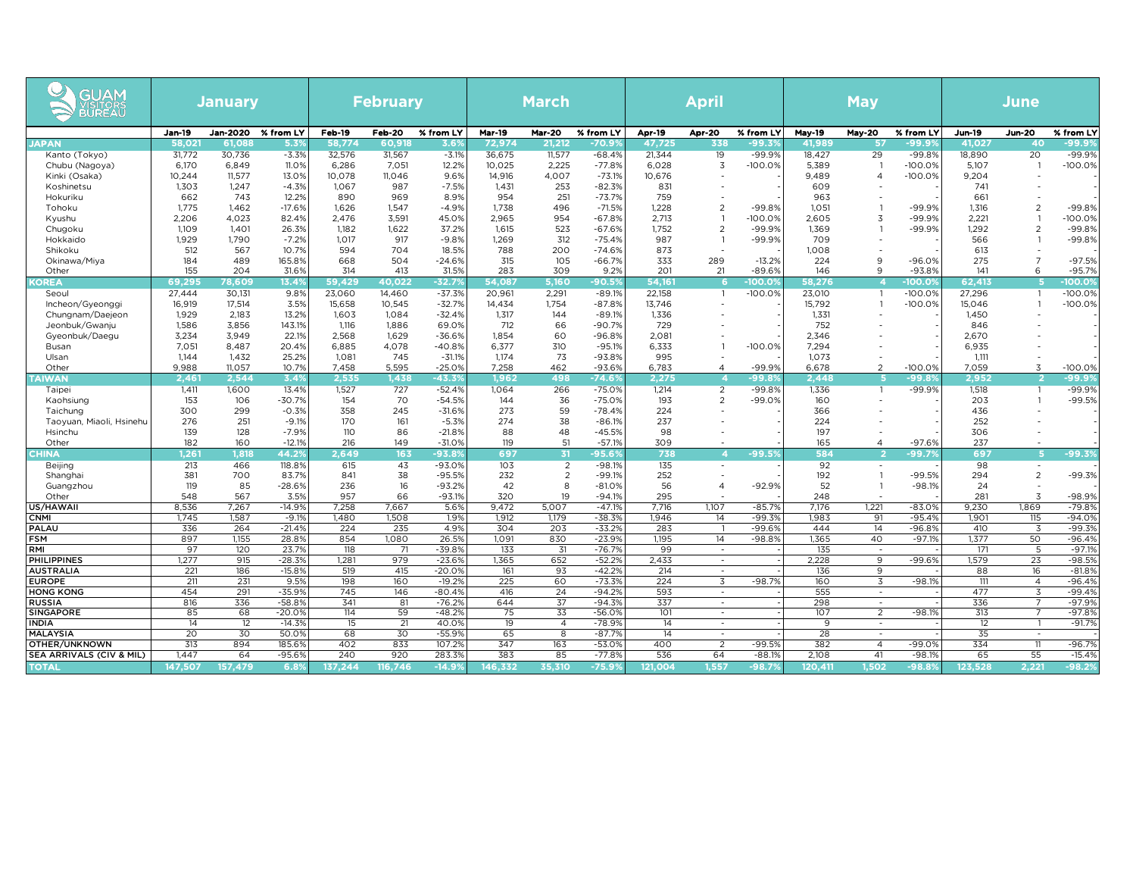| GUAM<br>VISITORS<br><b>BUREAU</b>      |                  | <b>January</b>               |                      |                  | <b>February</b>  |                      |                         | <b>March</b>            |                      |                  | <b>April</b>                                         |                       |                         | <b>May</b>                                 |                      |                         | <b>June</b>                                |                       |
|----------------------------------------|------------------|------------------------------|----------------------|------------------|------------------|----------------------|-------------------------|-------------------------|----------------------|------------------|------------------------------------------------------|-----------------------|-------------------------|--------------------------------------------|----------------------|-------------------------|--------------------------------------------|-----------------------|
| <b>JAPAN</b>                           | Jan-19<br>58,021 | Jan-2020 % from LY<br>61,088 | 5.3%                 | Feb-19<br>58,774 | Feb-20<br>60,918 | % from LY<br>3.69    | <b>Mar-19</b><br>72,974 | <b>Mar-20</b><br>21,212 | % from LY<br>-70.9'  | Apr-19<br>47,725 | Apr-20<br>338                                        | % from LY<br>-99.39   | <b>May-19</b><br>41,989 | May-20<br>-57                              | % from LY<br>99.9؛   | <b>Jun-19</b><br>41,027 | <b>Jun-20</b><br>40                        | % from LY<br>-99.9%   |
| Kanto (Tokyo)                          | 31,772           | 30,736                       | $-3.3%$              | 32,576           | 31,567           | $-3.1%$              | 36,675                  | 11,577                  | $-68.4%$             | 21,344           | 19                                                   | $-99.9%$              | 18,427                  | 29                                         | $-99.8%$             | 18,890                  | 20                                         | $-99.9%$              |
| Chubu (Nagoya)                         | 6,170            | 6,849                        | 11.0%                | 6,286            | 7,051            | 12.2%                | 10,025                  | 2,225                   | -77.8%               | 6,028<br>10,676  | 3                                                    | $-100.0%$             | 5,389<br>9,489          | $\overline{1}$<br>$\overline{4}$           | $-100.0%$            | 5,107<br>9,204          | $\overline{1}$                             | $-100.0%$             |
| Kinki (Osaka)<br>Koshinetsu            | 10,244<br>1,303  | 11,577<br>1,247              | 13.0%<br>$-4.3%$     | 10,078<br>1,067  | 11,046<br>987    | 9.6%<br>$-7.5%$      | 14,916<br>1,431         | 4,007<br>253            | $-73.1%$<br>$-82.3%$ | 831              | $\overline{a}$                                       |                       | 609                     |                                            | $-100.0%$            | 741                     | $\overline{\phantom{a}}$                   |                       |
| Hokuriku                               | 662              | 743                          | 12.2%                | 890              | 969              | 8.9%                 | 954                     | 251                     | $-73.7%$             | 759              | $\overline{a}$                                       |                       | 963                     |                                            |                      | 661                     | $\overline{\phantom{a}}$                   |                       |
| Tohoku                                 | 1,775<br>2,206   | 1,462<br>4,023               | $-17.6%$<br>82.4%    | 1,626<br>2,476   | 1,547<br>3,591   | $-4.9%$<br>45.0%     | 1,738<br>2,965          | 496<br>954              | $-71.5%$<br>$-67.8%$ | 1,228<br>2,713   | 2<br>$\overline{1}$                                  | $-99.8%$<br>$-100.0%$ | 1,051<br>2,605          | $\mathbf{1}$<br>3                          | $-99.9%$<br>$-99.9%$ | 1,316<br>2,221          | $\overline{2}$<br>$\overline{1}$           | $-99.8%$<br>$-100.0%$ |
| Kyushu<br>Chugoku                      | 1,109            | 1,401                        | 26.3%                | 1,182            | 1,622            | 37.2%                | 1,615                   | 523                     | $-67.6%$             | 1,752            | $\overline{2}$                                       | $-99.9%$              | 1,369                   | $\overline{1}$                             | $-99.9%$             | 1,292                   | $\overline{2}$                             | $-99.8%$              |
| Hokkaido                               | 1,929            | 1,790                        | $-7.2%$              | 1,017            | 917              | $-9.8%$              | 1,269                   | 312                     | $-75.4%$             | 987              | $\overline{1}$                                       | $-99.9%$              | 709                     |                                            |                      | 566                     | $\overline{1}$                             | $-99.8%$              |
| Shikoku                                | 512<br>184       | 567<br>489                   | 10.7%                | 594<br>668       | 704<br>504       | 18.5%                | 788<br>315              | 200<br>105              | $-74.6%$             | 873<br>333       | 289                                                  | $-13.2%$              | 1,008<br>224            | 9                                          | $-96.0%$             | 613<br>275              | $\overline{\phantom{a}}$<br>$\overline{7}$ | $-97.5%$              |
| Okinawa/Miya<br>Other                  | 155              | 204                          | 165.8%<br>31.6%      | 314              | 413              | $-24.6%$<br>31.5%    | 283                     | 309                     | $-66.7%$<br>9.2%     | 201              | 21                                                   | $-89.6%$              | 146                     | 9                                          | -93.8%               | 141                     | 6                                          | -95.7%                |
| <b>OREA</b>                            | 69,295           | 78,609                       | 13.4 <sup>o</sup>    | 59,429           | 40,022           | $-32.79$             | 54.087                  | 5,160                   | $-90.59$             | 54,161           | 6                                                    | $-100.09$             | 58,276                  | z                                          | $-100.09$            | 62,413                  | 5                                          | $-100.09$             |
| Seoul                                  | 27,444           | 30,131                       | 9.8%                 | 23,060           | 14,460           | $-37.3%$             | 20,961                  | 2,291                   | $-89.1%$             | 22,158           | $\overline{1}$                                       | $-100.0%$             | 23,010                  | $\overline{1}$                             | $-100.0%$            | 27,296                  | $\overline{1}$                             | $-100.0%$             |
| Incheon/Gyeonggi<br>Chungnam/Daejeon   | 16,919<br>1,929  | 17,514<br>2,183              | 3.5%<br>13.2%        | 15,658<br>1,603  | 10,545<br>1,084  | $-32.7%$<br>$-32.4%$ | 14,434<br>1,317         | 1,754<br>144            | $-87.8%$<br>$-89.1%$ | 13,746<br>1,336  | $\overline{\phantom{a}}$<br>$\overline{\phantom{a}}$ |                       | 15,792<br>1,331         | $\overline{1}$                             | $-100.0%$            | 15,046<br>1,450         | $\overline{1}$                             | $-100.0%$             |
| Jeonbuk/Gwanju                         | 1,586            | 3,856                        | 143.1%               | 1,116            | 1,886            | 69.0%                | 712                     | 66                      | $-90.7%$             | 729              | $\overline{a}$                                       |                       | 752                     |                                            |                      | 846                     |                                            |                       |
| Gyeonbuk/Daegu                         | 3,234            | 3,949                        | 22.1%                | 2,568            | 1,629            | $-36.6%$             | 1,854                   | 60                      | $-96.8%$             | 2,081            | $\overline{1}$                                       |                       | 2,346                   |                                            |                      | 2,670                   |                                            |                       |
| Busan<br>Ulsan                         | 7,051<br>1,144   | 8,487<br>1,432               | 20.4%<br>25.2%       | 6,885<br>1,081   | 4,078<br>745     | $-40.8%$<br>$-31.1%$ | 6,377<br>1,174          | 310<br>73               | $-95.1%$<br>$-93.8%$ | 6,333<br>995     |                                                      | $-100.0%$             | 7,294<br>1,073          |                                            |                      | 6,935<br>1,111          |                                            |                       |
| Other                                  | 9.988            | 11,057                       | 10.7%                | 7,458            | 5,595            | $-25.0%$             | 7,258                   | 462                     | $-93.6%$             | 6,783            | $\overline{4}$                                       | $-99.9%$              | 6,678                   | 2                                          | $-100.0%$            | 7,059                   | 3                                          | $-100.0%$             |
| <b>TAIWAN</b>                          | 2,461            | 2.544                        | 3.4%                 | 2,535            | 1,438            | $-43.3$              | 1.962                   | 498                     | $-74.69$             | 2.275            | $\overline{\bf{4}}$                                  | -99.8                 | 2.448                   |                                            | $-99.8$              | 2.952                   | $\overline{2}$                             | -99.9%                |
| Taipei<br>Kaohsiung                    | 1,411<br>153     | 1,600<br>106                 | 13.4%<br>$-30.7%$    | 1,527<br>154     | 727<br>70        | $-52.4%$<br>$-54.5%$ | 1,064<br>144            | 266<br>36               | $-75.0%$<br>$-75.0%$ | 1,214<br>193     | $\overline{2}$<br>$\overline{2}$                     | $-99.8%$<br>$-99.0%$  | 1,336<br>160            | $\overline{1}$                             | $-99.9%$             | 1,518<br>203            | $\overline{1}$<br>$\overline{1}$           | $-99.9%$<br>$-99.5%$  |
| Taichung                               | 300              | 299                          | $-0.3%$              | 358              | 245              | $-31.6%$             | 273                     | 59                      | $-78.4%$             | 224              | $\overline{\phantom{a}}$                             |                       | 366                     | $\overline{\phantom{a}}$                   |                      | 436                     | $\overline{\phantom{a}}$                   |                       |
| Taoyuan, Miaoli, Hsinehu               | 276              | 251                          | $-9.1%$              | 170              | 161              | $-5.3%$              | 274                     | 38                      | $-86.1%$             | 237              | ÷                                                    |                       | 224                     |                                            |                      | 252                     |                                            |                       |
| Hsinchu<br>Other                       | 139<br>182       | 128<br>160                   | $-7.9%$<br>$-12.1%$  | 110<br>216       | 86<br>149        | $-21.8%$<br>$-31.0%$ | 88<br>119               | 48<br>51                | $-45.5%$<br>$-57.1%$ | 98<br>309        |                                                      |                       | 197<br>165              | $\overline{4}$                             | $-97.6%$             | 306<br>237              |                                            |                       |
| CHINA                                  | 1,261            | 1,818                        | 44.29                | 2,649            | 163              | $-93.89$             | 697                     | 31                      | -95.69               | 738              | $\overline{4}$                                       | $-99.59$              | 584                     | -2                                         | $-99.7$              | 697                     | -5                                         | -99.3%                |
| Beijing                                | 213              | 466                          | 118.8%               | 615              | 43               | $-93.0%$             | 103                     | $\overline{2}$          | $-98.1%$             | 135              | $\sim$                                               |                       | 92                      | $\overline{\phantom{a}}$                   |                      | 98                      | $\overline{\phantom{a}}$                   |                       |
| Shanghai<br>Guangzhou                  | 381<br>119       | 700<br>85                    | 83.7%<br>-28.6%      | 841<br>236       | 38<br>16         | $-95.5%$<br>$-93.2%$ | 232<br>42               | $\overline{2}$<br>8     | $-99.1%$<br>$-81.0%$ | 252<br>56        | $\overline{a}$<br>$\overline{4}$                     | $-92.9%$              | 192<br>52               | $\overline{1}$<br>1                        | $-99.5%$<br>$-98.1%$ | 294<br>24               | $\overline{2}$                             | $-99.3%$              |
| Other                                  | 548              | 567                          | 3.5%                 | 957              | 66               | $-93.1%$             | 320                     | 19                      | $-94.1%$             | 295              |                                                      |                       | 248                     |                                            |                      | 281                     | $\overline{3}$                             | $-98.9%$              |
| US/HAWAII                              | 8,536            | 7,267                        | $-14.9%$             | 7,258            | 7,667            | 5.6%                 | 9.472                   | 5,007                   | $-47.1%$             | 7.716            | 1,107                                                | $-85.7%$              | 7.176                   | 1,221                                      | $-83.0%$             | 9,230                   | 1,869                                      | $-79.8%$              |
| <b>CNMI</b><br><b>PALAU</b>            | 1,745<br>336     | 1,587<br>264                 | $-9.1%$<br>$-21.4%$  | 1,480<br>224     | 1,508<br>235     | 1.9%<br>4.9%         | 1,912<br>304            | 1,179<br>203            | $-38.3%$<br>$-33.2%$ | 1,946<br>283     | 14<br>$\overline{1}$                                 | $-99.3%$<br>-99.6%    | 1,983<br>444            | 91<br>14                                   | $-95.4%$<br>$-96.8%$ | 1,901<br>410            | 115<br>3                                   | $-94.0%$<br>$-99.3%$  |
| <b>FSM</b>                             | 897              | 1,155                        | 28.8%                | 854              | 1,080            | 26.5%                | 1,091                   | 830                     | $-23.9%$             | 1,195            | 14                                                   | $-98.8%$              | 1,365                   | 40                                         | $-97.19$             | 1,377                   | 50                                         | $-96.4%$              |
| RMI                                    | 97               | 120                          | 23.7%                | 118              | 71               | $-39.8%$             | 133                     | 31                      | $-76.7%$             | 99               | $\overline{\phantom{a}}$                             |                       | 135                     | $\sim$                                     |                      | 171                     | 5                                          | $-97.1%$              |
| <b>PHILIPPINES</b><br><b>AUSTRALIA</b> | 1,277<br>221     | 915<br>186                   | $-28.3%$<br>$-15.8%$ | 1,281<br>519     | 979<br>415       | $-23.6%$<br>$-20.0%$ | 1,365<br>161            | 652<br>93               | $-52.2%$<br>$-42.2%$ | 2,433<br>214     | $\sim$<br>$\sim$                                     |                       | 2,228<br>136            | 9<br>9                                     | $-99.6%$             | 1,579<br>88             | 23<br>16                                   | $-98.5%$<br>$-81.8%$  |
| <b>EUROPE</b>                          | 211              | 231                          | 9.5%                 | 198              | 160              | $-19.2%$             | 225                     | 60                      | $-73.3%$             | 224              | 3                                                    | $-98.7%$              | 160                     | 3                                          | $-98.1%$             | 111                     | $\overline{4}$                             | $-96.4%$              |
| <b>HONG KONG</b><br><b>RUSSIA</b>      | 454<br>816       | 291<br>336                   | $-35.9%$             | 745<br>341       | 146              | $-80.4%$<br>$-76.2%$ | 416<br>644              | 24<br>37                | $-94.2%$<br>$-94.39$ | 593              | $\sim$<br>$\overline{\phantom{a}}$                   |                       | 555<br>298              | $\sim$                                     |                      | 477<br>336              | 3<br>7                                     | $-99.4%$<br>$-97.9%$  |
| <b>SINGAPORE</b>                       | 85               | 68                           | $-58.89$<br>$-20.0%$ | 114              | 81<br>59         | $-48.2%$             | 75                      | 33                      | $-56.0%$             | 337<br>101       | $\sim$                                               |                       | 107                     | 2                                          | $-98.1%$             | 313                     | 7                                          | $-97.8%$              |
| <b>INDIA</b>                           | 14               | 12                           | $-14.39$             | 15               | 21               | 40.09                | 19                      | $\overline{4}$          | $-78.9%$             | 14               | $\overline{\phantom{a}}$                             |                       | 9                       | $\overline{\phantom{a}}$                   |                      | 12                      | -1                                         | $-91.7%$              |
| <b>MALAYSIA</b><br>OTHER/UNKNOWN       | 20<br>313        | 30<br>894                    | 50.09<br>185.6%      | 68<br>402        | 30<br>833        | $-55.9%$<br>107.2%   | 65<br>347               | 8<br>163                | $-87.79$<br>$-53.0%$ | 14<br>400        | $\overline{\phantom{a}}$<br>$\overline{2}$           | $-99.5%$              | 28<br>382               | $\overline{\phantom{a}}$<br>$\overline{4}$ | $-99.0%$             | 35<br>334               | $\overline{\phantom{a}}$<br>11             | $-96.7%$              |
| SEA ARRIVALS (CIV & MIL)               | 1,447            | 64                           | $-95.6%$             | 240              | 920              | 283.3%               | 383                     | 85                      | $-77.8%$             | 536              | 64                                                   | $-88.1%$              | 2,108                   | 41                                         | $-98.1%$             | 65                      | 55                                         | $-15.4%$              |
| <b>TOTAL</b>                           | 147,507          | 157,479                      | 6.8%                 |                  | 137,244 116,746  | $-14.9%$             | 146,332                 | 35,310                  | $-75.9%$             | 121,004          | 1,557                                                | $-98.7%$              | 120,411                 | 1,502                                      | $-98.8%$             | 123,528                 | 2,221                                      | $-98.2%$              |